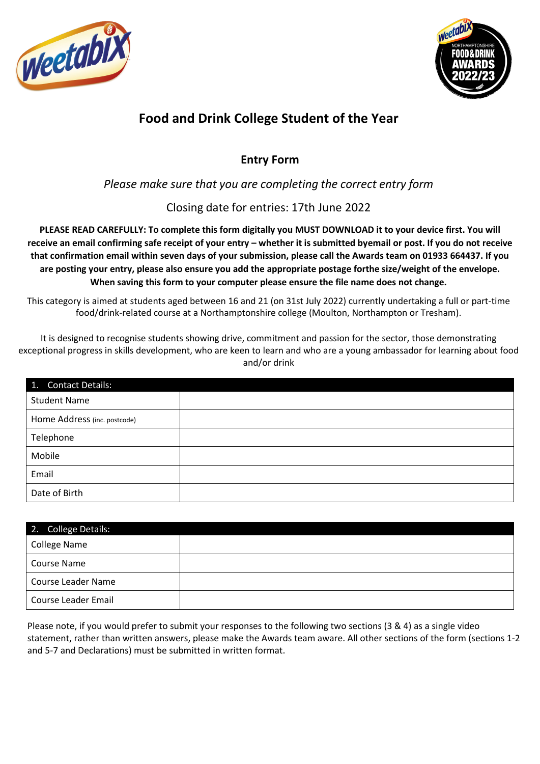



# **Food and Drink College Student of the Year**

# **Entry Form**

# *Please make sure that you are completing the correct entry form*

# Closing date for entries: 17th June 2022

**PLEASE READ CAREFULLY: To complete this form digitally you MUST DOWNLOAD it to your device first. You will receive an email confirming safe receipt of your entry – whether it is submitted byemail or post. If you do not receive that confirmation email within seven days of your submission, please call the Awards team on 01933 664437. If you are posting your entry, please also ensure you add the appropriate postage forthe size/weight of the envelope. When saving this form to your computer please ensure the file name does not change.** 

This category is aimed at students aged between 16 and 21 (on 31st July 2022) currently undertaking a full or part-time food/drink-related course at a Northamptonshire college (Moulton, Northampton or Tresham).

It is designed to recognise students showing drive, commitment and passion for the sector, those demonstrating exceptional progress in skills development, who are keen to learn and who are a young ambassador for learning about food and/or drink

| 1. Contact Details:          |  |
|------------------------------|--|
| <b>Student Name</b>          |  |
| Home Address (inc. postcode) |  |
| Telephone                    |  |
| Mobile                       |  |
| Email                        |  |
| Date of Birth                |  |

| 2. College Details:       |  |
|---------------------------|--|
| College Name              |  |
| <b>Course Name</b>        |  |
| <b>Course Leader Name</b> |  |
| Course Leader Email       |  |

Please note, if you would prefer to submit your responses to the following two sections (3 & 4) as a single video statement, rather than written answers, please make the Awards team aware. All other sections of the form (sections 1-2 and 5-7 and Declarations) must be submitted in written format.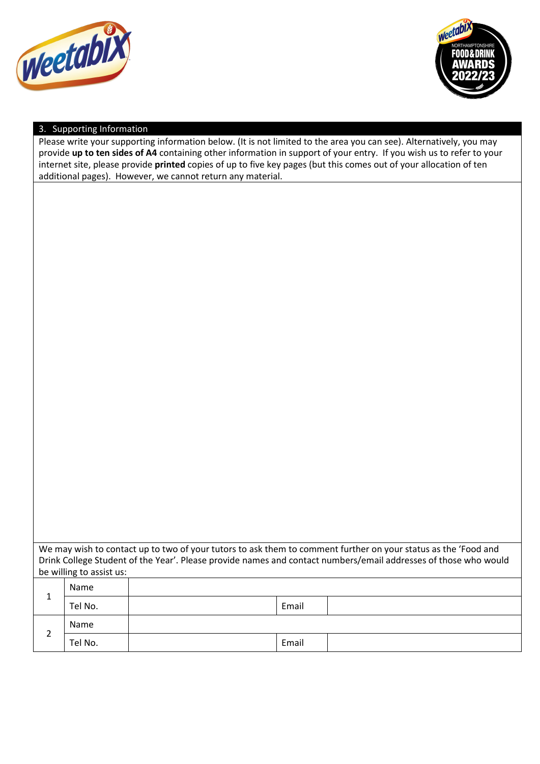



## 3. Supporting Information

Please write your supporting information below. (It is not limited to the area you can see). Alternatively, you may provide **up to ten sides of A4** containing other information in support of your entry. If you wish us to refer to your internet site, please provide **printed** copies of up to five key pages (but this comes out of your allocation of ten additional pages). However, we cannot return any material.

| We may wish to contact up to two of your tutors to ask them to comment further on your status as the 'Food and  |
|-----------------------------------------------------------------------------------------------------------------|
| Drink College Student of the Year'. Please provide names and contact numbers/email addresses of those who would |
| be willing to assist us:                                                                                        |
|                                                                                                                 |

| -      | Name    |       |  |
|--------|---------|-------|--|
|        | Tel No. | Email |  |
| ⌒<br>∸ | Name    |       |  |
|        | Tel No. | Email |  |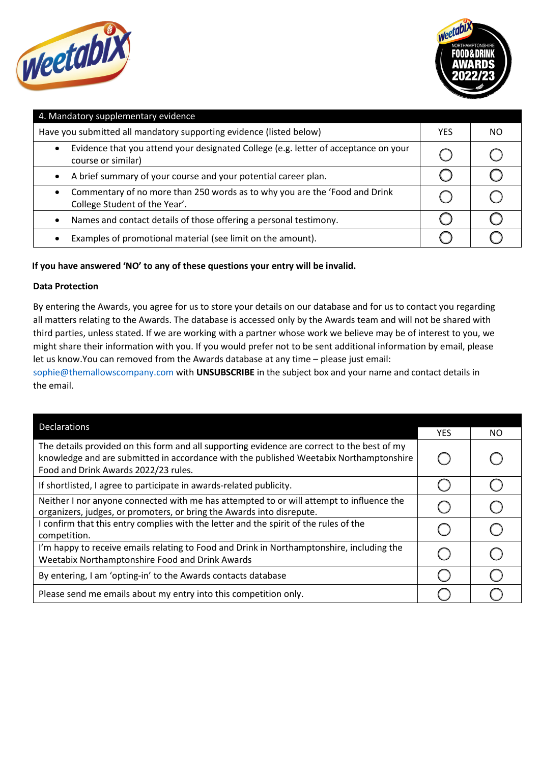



| 4. Mandatory supplementary evidence                                                                                      |     |     |  |  |
|--------------------------------------------------------------------------------------------------------------------------|-----|-----|--|--|
| Have you submitted all mandatory supporting evidence (listed below)                                                      | YES | NO. |  |  |
| Evidence that you attend your designated College (e.g. letter of acceptance on your<br>$\bullet$<br>course or similar)   |     |     |  |  |
| A brief summary of your course and your potential career plan.<br>$\bullet$                                              |     |     |  |  |
| Commentary of no more than 250 words as to why you are the 'Food and Drink<br>$\bullet$<br>College Student of the Year'. |     |     |  |  |
| Names and contact details of those offering a personal testimony.<br>$\bullet$                                           |     |     |  |  |
| Examples of promotional material (see limit on the amount).                                                              |     |     |  |  |

# **If you have answered 'NO' to any of these questions your entry will be invalid.**

### **Data Protection**

By entering the Awards, you agree for us to store your details on our database and for us to contact you regarding all matters relating to the Awards. The database is accessed only by the Awards team and will not be shared with third parties, unless stated. If we are working with a partner whose work we believe may be of interest to you, we might share their information with you. If you would prefer not to be sent additional information by email, please let us know.You can removed from the Awards database at any time – please just email:

[sophie@themallowscompany.com](mailto:sophie@themallowscompany.com) with **UNSUBSCRIBE** in the subject box and your name and contact details in the email.

| <b>Declarations</b>                                                                                                                                                                                                           |            |     |
|-------------------------------------------------------------------------------------------------------------------------------------------------------------------------------------------------------------------------------|------------|-----|
|                                                                                                                                                                                                                               | <b>YES</b> | NO. |
| The details provided on this form and all supporting evidence are correct to the best of my<br>knowledge and are submitted in accordance with the published Weetabix Northamptonshire<br>Food and Drink Awards 2022/23 rules. |            |     |
| If shortlisted, I agree to participate in awards-related publicity.                                                                                                                                                           |            |     |
| Neither I nor anyone connected with me has attempted to or will attempt to influence the<br>organizers, judges, or promoters, or bring the Awards into disrepute.                                                             |            |     |
| I confirm that this entry complies with the letter and the spirit of the rules of the<br>competition.                                                                                                                         |            |     |
| I'm happy to receive emails relating to Food and Drink in Northamptonshire, including the<br>Weetabix Northamptonshire Food and Drink Awards                                                                                  |            |     |
| By entering, I am 'opting-in' to the Awards contacts database                                                                                                                                                                 |            |     |
| Please send me emails about my entry into this competition only.                                                                                                                                                              |            |     |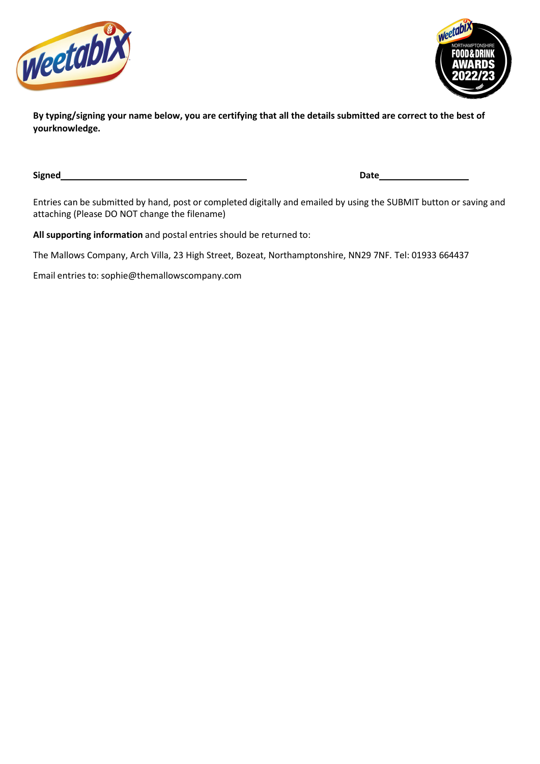



**By typing/signing your name below, you are certifying that all the details submitted are correct to the best of yourknowledge.**

**Signed Date**

Entries can be submitted by hand, post or completed digitally and emailed by using the SUBMIT button or saving and attaching (Please DO NOT change the filename)

**All supporting information** and postal entries should be returned to:

The Mallows Company, Arch Villa, 23 High Street, Bozeat, Northamptonshire, NN29 7NF. Tel: 01933 664437

Email entries to: [sophie@themallowscompany.com](mailto:sophie@themallowscompany.com)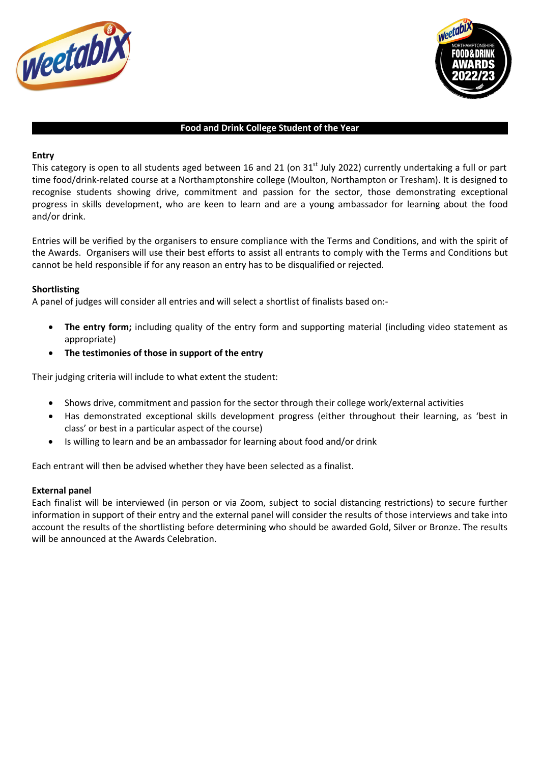



#### **Food and Drink College Student of the Year**

#### **Entry**

This category is open to all students aged between 16 and 21 (on 31<sup>st</sup> July 2022) currently undertaking a full or part time food/drink-related course at a Northamptonshire college (Moulton, Northampton or Tresham). It is designed to recognise students showing drive, commitment and passion for the sector, those demonstrating exceptional progress in skills development, who are keen to learn and are a young ambassador for learning about the food and/or drink.

Entries will be verified by the organisers to ensure compliance with the Terms and Conditions, and with the spirit of the Awards. Organisers will use their best efforts to assist all entrants to comply with the Terms and Conditions but cannot be held responsible if for any reason an entry has to be disqualified or rejected.

#### **Shortlisting**

A panel of judges will consider all entries and will select a shortlist of finalists based on:-

- **The entry form;** including quality of the entry form and supporting material (including video statement as appropriate)
- **The testimonies of those in support of the entry**

Their judging criteria will include to what extent the student:

- Shows drive, commitment and passion for the sector through their college work/external activities
- Has demonstrated exceptional skills development progress (either throughout their learning, as 'best in class' or best in a particular aspect of the course)
- Is willing to learn and be an ambassador for learning about food and/or drink

Each entrant will then be advised whether they have been selected as a finalist.

#### **External panel**

Each finalist will be interviewed (in person or via Zoom, subject to social distancing restrictions) to secure further information in support of their entry and the external panel will consider the results of those interviews and take into account the results of the shortlisting before determining who should be awarded Gold, Silver or Bronze. The results will be announced at the Awards Celebration.